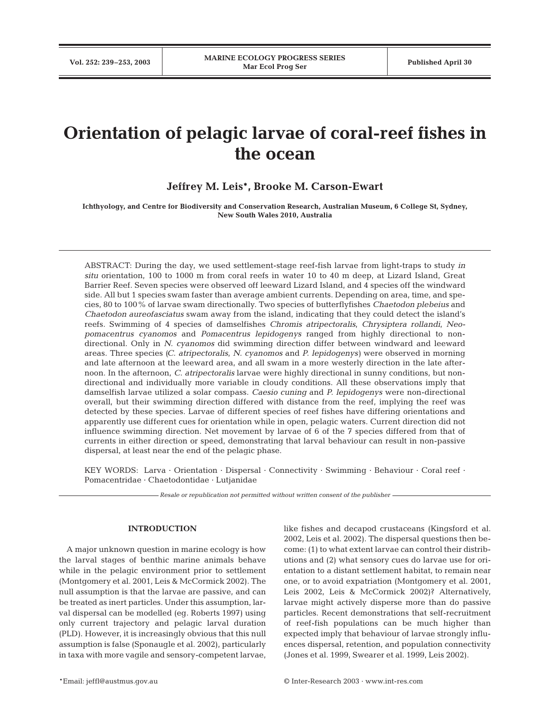# **Orientation of pelagic larvae of coral-reef fishes in the ocean**

# **Jeffrey M. Leis\*, Brooke M. Carson-Ewart**

**Ichthyology, and Centre for Biodiversity and Conservation Research, Australian Museum, 6 College St, Sydney, New South Wales 2010, Australia**

ABSTRACT: During the day, we used settlement-stage reef-fish larvae from light-traps to study *in situ* orientation, 100 to 1000 m from coral reefs in water 10 to 40 m deep, at Lizard Island, Great Barrier Reef. Seven species were observed off leeward Lizard Island, and 4 species off the windward side. All but 1 species swam faster than average ambient currents. Depending on area, time, and species, 80 to 100% of larvae swam directionally. Two species of butterflyfishes *Chaetodon plebeius* and *Chaetodon aureofasciatus* swam away from the island, indicating that they could detect the island's reefs. Swimming of 4 species of damselfishes *Chromis atripectoralis, Chrysiptera rollandi, Neopomacentrus cyanomos* and *Pomacentrus lepidogenys* ranged from highly directional to nondirectional. Only in *N. cyanomos* did swimming direction differ between windward and leeward areas. Three species *(C. atripectoralis*, *N. cyanomos* and *P. lepidogenys)* were observed in morning and late afternoon at the leeward area, and all swam in a more westerly direction in the late afternoon. In the afternoon, *C. atripectoralis* larvae were highly directional in sunny conditions, but nondirectional and individually more variable in cloudy conditions. All these observations imply that damselfish larvae utilized a solar compass. *Caesio cuning* and *P. lepidogenys* were non-directional overall, but their swimming direction differed with distance from the reef, implying the reef was detected by these species. Larvae of different species of reef fishes have differing orientations and apparently use different cues for orientation while in open, pelagic waters. Current direction did not influence swimming direction. Net movement by larvae of 6 of the 7 species differed from that of currents in either direction or speed, demonstrating that larval behaviour can result in non-passive dispersal, at least near the end of the pelagic phase.

KEY WORDS: Larva · Orientation · Dispersal · Connectivity · Swimming · Behaviour · Coral reef · Pomacentridae · Chaetodontidae · Lutjanidae

*Resale or republication not permitted without written consent of the publisher*

#### **INTRODUCTION**

A major unknown question in marine ecology is how the larval stages of benthic marine animals behave while in the pelagic environment prior to settlement (Montgomery et al. 2001, Leis & McCormick 2002). The null assumption is that the larvae are passive, and can be treated as inert particles. Under this assumption, larval dispersal can be modelled (eg. Roberts 1997) using only current trajectory and pelagic larval duration (PLD). However, it is increasingly obvious that this null assumption is false (Sponaugle et al. 2002), particularly in taxa with more vagile and sensory-competent larvae, like fishes and decapod crustaceans (Kingsford et al. 2002, Leis et al. 2002). The dispersal questions then become: (1) to what extent larvae can control their distributions and (2) what sensory cues do larvae use for orientation to a distant settlement habitat, to remain near one, or to avoid expatriation (Montgomery et al. 2001, Leis 2002, Leis & McCormick 2002)? Alternatively, larvae might actively disperse more than do passive particles. Recent demonstrations that self-recruitment of reef-fish populations can be much higher than expected imply that behaviour of larvae strongly influences dispersal, retention, and population connectivity (Jones et al. 1999, Swearer et al. 1999, Leis 2002).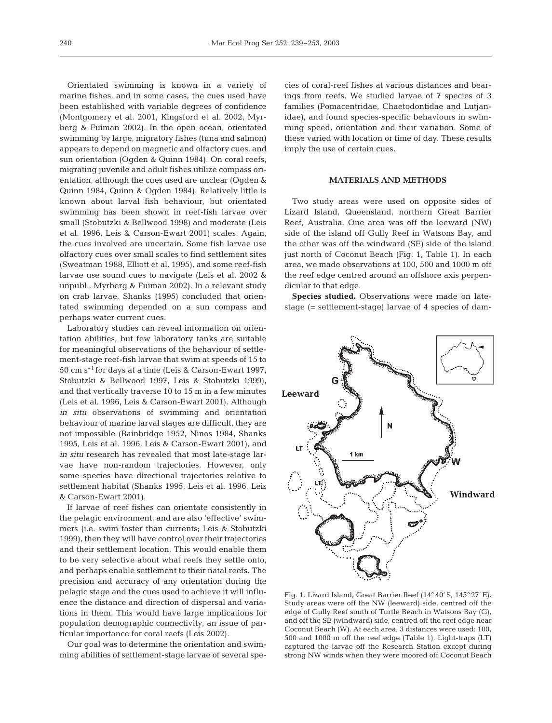Orientated swimming is known in a variety of marine fishes, and in some cases, the cues used have been established with variable degrees of confidence (Montgomery et al. 2001, Kingsford et al. 2002, Myrberg & Fuiman 2002). In the open ocean, orientated swimming by large, migratory fishes (tuna and salmon) appears to depend on magnetic and olfactory cues, and sun orientation (Ogden & Quinn 1984). On coral reefs, migrating juvenile and adult fishes utilize compass orientation, although the cues used are unclear (Ogden & Quinn 1984, Quinn & Ogden 1984). Relatively little is known about larval fish behaviour, but orientated swimming has been shown in reef-fish larvae over small (Stobutzki & Bellwood 1998) and moderate (Leis et al. 1996, Leis & Carson-Ewart 2001) scales. Again, the cues involved are uncertain. Some fish larvae use olfactory cues over small scales to find settlement sites (Sweatman 1988, Elliott et al. 1995), and some reef-fish larvae use sound cues to navigate (Leis et al. 2002 & unpubl., Myrberg & Fuiman 2002). In a relevant study

perhaps water current cues. Laboratory studies can reveal information on orientation abilities, but few laboratory tanks are suitable for meaningful observations of the behaviour of settlement-stage reef-fish larvae that swim at speeds of 15 to  $50~{\rm cm~s^{-1}}$  for days at a time (Leis & Carson-Ewart 1997, Stobutzki & Bellwood 1997, Leis & Stobutzki 1999), and that vertically traverse 10 to 15 m in a few minutes (Leis et al. 1996, Leis & Carson-Ewart 2001). Although *in situ* observations of swimming and orientation behaviour of marine larval stages are difficult, they are not impossible (Bainbridge 1952, Ninos 1984, Shanks 1995, Leis et al. 1996, Leis & Carson-Ewart 2001), and *in situ* research has revealed that most late-stage larvae have non-random trajectories. However, only some species have directional trajectories relative to settlement habitat (Shanks 1995, Leis et al. 1996, Leis & Carson-Ewart 2001).

on crab larvae, Shanks (1995) concluded that orientated swimming depended on a sun compass and

If larvae of reef fishes can orientate consistently in the pelagic environment, and are also 'effective' swimmers (i.e. swim faster than currents; Leis & Stobutzki 1999), then they will have control over their trajectories and their settlement location. This would enable them to be very selective about what reefs they settle onto, and perhaps enable settlement to their natal reefs. The precision and accuracy of any orientation during the pelagic stage and the cues used to achieve it will influence the distance and direction of dispersal and variations in them. This would have large implications for population demographic connectivity, an issue of particular importance for coral reefs (Leis 2002).

Our goal was to determine the orientation and swimming abilities of settlement-stage larvae of several spe-

cies of coral-reef fishes at various distances and bearings from reefs. We studied larvae of 7 species of 3 families (Pomacentridae, Chaetodontidae and Lutjanidae), and found species-specific behaviours in swimming speed, orientation and their variation. Some of these varied with location or time of day. These results imply the use of certain cues.

# **MATERIALS AND METHODS**

Two study areas were used on opposite sides of Lizard Island, Queensland, northern Great Barrier Reef, Australia. One area was off the leeward (NW) side of the island off Gully Reef in Watsons Bay, and the other was off the windward (SE) side of the island just north of Coconut Beach (Fig. 1, Table 1). In each area, we made observations at 100, 500 and 1000 m off the reef edge centred around an offshore axis perpendicular to that edge.

**Species studied.** Observations were made on latestage (= settlement-stage) larvae of 4 species of dam-



Fig. 1. Lizard Island, Great Barrier Reef (14° 40' S, 145° 27' E). Study areas were off the NW (leeward) side, centred off the edge of Gully Reef south of Turtle Beach in Watsons Bay (G), and off the SE (windward) side, centred off the reef edge near Coconut Beach (W). At each area, 3 distances were used: 100, 500 and 1000 m off the reef edge (Table 1). Light-traps (LT) captured the larvae off the Research Station except during strong NW winds when they were moored off Coconut Beach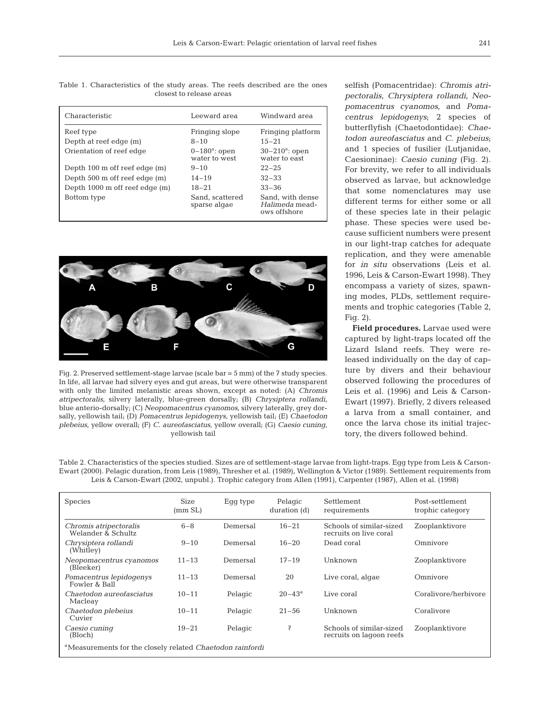Table 1. Characteristics of the study areas. The reefs described are the ones closest to release areas

| Characteristic                 | Leeward area                          | Windward area                                      |
|--------------------------------|---------------------------------------|----------------------------------------------------|
| Reef type                      | Fringing slope                        | Fringing platform                                  |
| Depth at reef edge (m)         | $8 - 10$                              | $15 - 21$                                          |
| Orientation of reef edge       | $0-180^\circ$ : open<br>water to west | $30-210^\circ$ : open<br>water to east             |
| Depth 100 m off reef edge (m)  | $9 - 10$                              | $22 - 25$                                          |
| Depth 500 m off reef edge (m)  | $14 - 19$                             | $32 - 33$                                          |
| Depth 1000 m off reef edge (m) | $18 - 21$                             | $33 - 36$                                          |
| Bottom type                    | Sand, scattered<br>sparse algae       | Sand, with dense<br>Halimeda mead-<br>ows offshore |



Fig. 2. Preserved settlement-stage larvae (scale bar  $=$  5 mm) of the 7 study species. In life, all larvae had silvery eyes and gut areas, but were otherwise transparent with only the limited melanistic areas shown, except as noted: (A) *Chromis atripectoralis*, silvery laterally, blue-green dorsally; (B) *Chrysiptera rollandi*, blue anterio-dorsally; (C) *Neopomacentrus cyanomos*, silvery laterally, grey dorsally, yellowish tail; (D) *Pomacentrus lepidogenys*, yellowish tail; (E) *Chaetodon plebeius*, yellow overall; (F) *C. aureofasciatus*, yellow overall; (G) *Caesio cuning*, yellowish tail

selfish (Pomacentridae): *Chromis atripectoralis*, *Chrysiptera rollandi, Neopomacentrus cyanomos*, and *Pomacentrus lepidogenys*; 2 species of butterflyfish (Chaetodontidae): *Chaetodon aureofasciatus* and *C. plebeius*; and 1 species of fusilier (Lutjanidae, Caesioninae): *Caesio cuning* (Fig. 2). For brevity, we refer to all individuals observed as larvae, but acknowledge that some nomenclatures may use different terms for either some or all of these species late in their pelagic phase. These species were used because sufficient numbers were present in our light-trap catches for adequate replication, and they were amenable for *in situ* observations (Leis et al. 1996, Leis & Carson-Ewart 1998). They encompass a variety of sizes, spawning modes, PLDs, settlement requirements and trophic categories (Table 2, Fig. 2).

**Field procedures.** Larvae used were captured by light-traps located off the Lizard Island reefs. They were released individually on the day of capture by divers and their behaviour observed following the procedures of Leis et al. (1996) and Leis & Carson-Ewart (1997). Briefly, 2 divers released a larva from a small container, and once the larva chose its initial trajectory, the divers followed behind.

Table 2. Characteristics of the species studied. Sizes are of settlement-stage larvae from light-traps. Egg type from Leis & Carson-Ewart (2000). Pelagic duration, from Leis (1989), Thresher et al. (1989), Wellington & Victor (1989). Settlement requirements from Leis & Carson-Ewart (2002, unpubl.). Trophic category from Allen (1991), Carpenter (1987), Allen et al. (1998)

| <b>Species</b>                                                        | Size<br>(mm SL) | Egg type | Pelagic<br>duration (d) | Settlement<br>requirements                           | Post-settlement<br>trophic category |  |  |
|-----------------------------------------------------------------------|-----------------|----------|-------------------------|------------------------------------------------------|-------------------------------------|--|--|
| Chromis atripectoralis<br>Welander & Schultz                          | $6 - 8$         | Demersal | $16 - 21$               | Schools of similar-sized<br>recruits on live coral   | Zooplanktivore                      |  |  |
| Chrysiptera rollandi<br>(Whitley)                                     | $9 - 10$        | Demersal | $16 - 20$               | Dead coral                                           | Omnivore                            |  |  |
| Neopomacentrus cyanomos<br>(Bleeker)                                  | $11 - 13$       | Demersal | $17 - 19$               | Unknown                                              | Zooplanktivore                      |  |  |
| Pomacentrus lepidogenys<br>Fowler & Ball                              | $11 - 13$       | Demersal | 20                      | Live coral, algae                                    | Omnivore                            |  |  |
| Chaetodon aureofasciatus<br>Macleay                                   | $10 - 11$       | Pelagic  | $20 - 43^a$             | Live coral                                           | Coralivore/herbivore                |  |  |
| Chaetodon plebeius<br>Cuvier                                          | $10 - 11$       | Pelagic  | $21 - 56$               | Unknown                                              | Coralivore                          |  |  |
| Caesio cuning<br>(Bloch)                                              | $19 - 21$       | Pelagic  | Ŝ                       | Schools of similar-sized<br>recruits on lagoon reefs | Zooplanktivore                      |  |  |
| <sup>a</sup> Measurements for the closely related Chaetodon rainfordi |                 |          |                         |                                                      |                                     |  |  |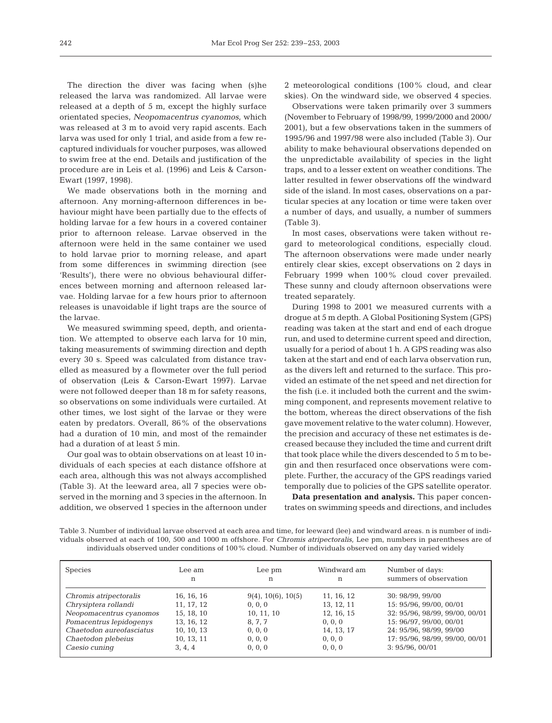The direction the diver was facing when (s)he released the larva was randomized. All larvae were released at a depth of 5 m, except the highly surface orientated species, *Neopomacentrus cyanomos,* which was released at 3 m to avoid very rapid ascents. Each larva was used for only 1 trial, and aside from a few recaptured individuals for voucher purposes, was allowed to swim free at the end. Details and justification of the procedure are in Leis et al. (1996) and Leis & Carson-Ewart (1997, 1998).

We made observations both in the morning and afternoon. Any morning-afternoon differences in behaviour might have been partially due to the effects of holding larvae for a few hours in a covered container prior to afternoon release. Larvae observed in the afternoon were held in the same container we used to hold larvae prior to morning release, and apart from some differences in swimming direction (see 'Results'), there were no obvious behavioural differences between morning and afternoon released larvae. Holding larvae for a few hours prior to afternoon releases is unavoidable if light traps are the source of the larvae.

We measured swimming speed, depth, and orientation. We attempted to observe each larva for 10 min, taking measurements of swimming direction and depth every 30 s. Speed was calculated from distance travelled as measured by a flowmeter over the full period of observation (Leis & Carson-Ewart 1997). Larvae were not followed deeper than 18 m for safety reasons, so observations on some individuals were curtailed. At other times, we lost sight of the larvae or they were eaten by predators. Overall, 86% of the observations had a duration of 10 min, and most of the remainder had a duration of at least 5 min.

Our goal was to obtain observations on at least 10 individuals of each species at each distance offshore at each area, although this was not always accomplished (Table 3). At the leeward area, all 7 species were observed in the morning and 3 species in the afternoon. In addition, we observed 1 species in the afternoon under

2 meteorological conditions (100% cloud, and clear skies). On the windward side, we observed 4 species.

Observations were taken primarily over 3 summers (November to February of 1998/99, 1999/2000 and 2000/ 2001), but a few observations taken in the summers of 1995/96 and 1997/98 were also included (Table 3). Our ability to make behavioural observations depended on the unpredictable availability of species in the light traps, and to a lesser extent on weather conditions. The latter resulted in fewer observations off the windward side of the island. In most cases, observations on a particular species at any location or time were taken over a number of days, and usually, a number of summers (Table 3).

In most cases, observations were taken without regard to meteorological conditions, especially cloud. The afternoon observations were made under nearly entirely clear skies, except observations on 2 days in February 1999 when 100% cloud cover prevailed. These sunny and cloudy afternoon observations were treated separately.

During 1998 to 2001 we measured currents with a drogue at 5 m depth. A Global Positioning System (GPS) reading was taken at the start and end of each drogue run, and used to determine current speed and direction, usually for a period of about 1 h. A GPS reading was also taken at the start and end of each larva observation run, as the divers left and returned to the surface. This provided an estimate of the net speed and net direction for the fish (i.e. it included both the current and the swimming component, and represents movement relative to the bottom, whereas the direct observations of the fish gave movement relative to the water column). However, the precision and accuracy of these net estimates is decreased because they included the time and current drift that took place while the divers descended to 5 m to begin and then resurfaced once observations were complete. Further, the accuracy of the GPS readings varied temporally due to policies of the GPS satellite operator.

**Data presentation and analysis.** This paper concentrates on swimming speeds and directions, and includes

Table 3. Number of individual larvae observed at each area and time, for leeward (lee) and windward areas. n is number of individuals observed at each of 100, 500 and 1000 m offshore. For *Chromis atripectoralis*, Lee pm, numbers in parentheses are of individuals observed under conditions of 100% cloud. Number of individuals observed on any day varied widely

| Species                  | Lee am<br>n | Lee pm<br>n           | Windward am<br>n | Number of days:<br>summers of observation |
|--------------------------|-------------|-----------------------|------------------|-------------------------------------------|
| Chromis atripectoralis   | 16, 16, 16  | $9(4)$ , 10(6), 10(5) | 11, 16, 12       | 30: 98/99, 99/00                          |
| Chrysiptera rollandi     | 11, 17, 12  | 0, 0, 0               | 13, 12, 11       | 15: 95/96, 99/00, 00/01                   |
| Neopomacentrus cyanomos  | 15, 18, 10  | 10, 11, 10            | 12, 16, 15       | 32: 95/96, 98/99, 99/00, 00/01            |
| Pomacentrus lepidogenys  | 13, 16, 12  | 8, 7, 7               | 0, 0, 0          | 15: 96/97, 99/00, 00/01                   |
| Chaetodon aureofasciatus | 10, 10, 13  | 0, 0, 0               | 14, 13, 17       | 24: 95/96, 98/99, 99/00                   |
| Chaetodon plebeius       | 10, 13, 11  | 0, 0, 0               | 0, 0, 0          | 17: 95/96, 98/99, 99/00, 00/01            |
| Caesio cuning            | 3, 4, 4     | 0, 0, 0               | 0, 0, 0          | 3: 95/96, 00/01                           |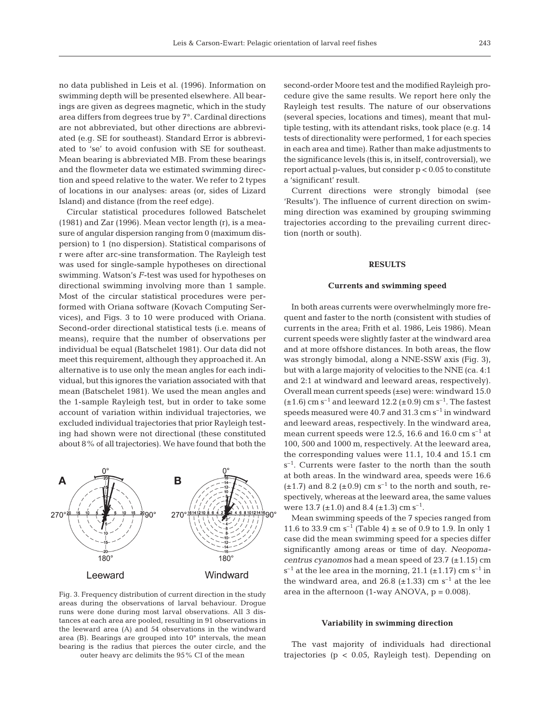no data published in Leis et al. (1996). Information on swimming depth will be presented elsewhere. All bearings are given as degrees magnetic, which in the study area differs from degrees true by 7°. Cardinal directions are not abbreviated, but other directions are abbreviated (e.g. SE for southeast). Standard Error is abbreviated to 'se' to avoid confusion with SE for southeast. Mean bearing is abbreviated MB. From these bearings and the flowmeter data we estimated swimming direction and speed relative to the water. We refer to 2 types of locations in our analyses: areas (or, sides of Lizard Island) and distance (from the reef edge).

Circular statistical procedures followed Batschelet (1981) and Zar (1996). Mean vector length (r), is a measure of angular dispersion ranging from 0 (maximum dispersion) to 1 (no dispersion). Statistical comparisons of r were after arc-sine transformation. The Rayleigh test was used for single-sample hypotheses on directional swimming. Watson's *F*-test was used for hypotheses on directional swimming involving more than 1 sample. Most of the circular statistical procedures were performed with Oriana software (Kovach Computing Services), and Figs. 3 to 10 were produced with Oriana. Second-order directional statistical tests (i.e. means of means), require that the number of observations per individual be equal (Batschelet 1981). Our data did not meet this requirement, although they approached it. An alternative is to use only the mean angles for each individual, but this ignores the variation associated with that mean (Batschelet 1981). We used the mean angles and the 1-sample Rayleigh test, but in order to take some account of variation within individual trajectories, we excluded individual trajectories that prior Rayleigh testing had shown were not directional (these constituted about 8% of all trajectories). We have found that both the



Fig. 3. Frequency distribution of current direction in the study areas during the observations of larval behaviour. Drogue runs were done during most larval observations. All 3 distances at each area are pooled, resulting in 91 observations in the leeward area (A) and 54 observations in the windward area (B). Bearings are grouped into 10° intervals, the mean bearing is the radius that pierces the outer circle, and the outer heavy arc delimits the 95% CI of the mean

second-order Moore test and the modified Rayleigh procedure give the same results. We report here only the Rayleigh test results. The nature of our observations (several species, locations and times), meant that multiple testing, with its attendant risks, took place (e.g. 14 tests of directionality were performed, 1 for each species in each area and time). Rather than make adjustments to the significance levels (this is, in itself, controversial), we report actual p-values, but consider p < 0.05 to constitute a 'significant' result.

Current directions were strongly bimodal (see 'Results'). The influence of current direction on swimming direction was examined by grouping swimming trajectories according to the prevailing current direction (north or south).

## **RESULTS**

#### **Currents and swimming speed**

In both areas currents were overwhelmingly more frequent and faster to the north (consistent with studies of currents in the area; Frith et al. 1986, Leis 1986). Mean current speeds were slightly faster at the windward area and at more offshore distances. In both areas, the flow was strongly bimodal, along a NNE-SSW axis (Fig. 3), but with a large majority of velocities to the NNE (ca. 4:1 and 2:1 at windward and leeward areas, respectively). Overall mean current speeds (±se) were: windward 15.0  $(\pm 1.6)$  cm s<sup>-1</sup> and leeward 12.2 ( $\pm 0.9$ ) cm s<sup>-1</sup>. The fastest speeds measured were  $40.7$  and  $31.3$  cm  $s^{-1}$  in windward and leeward areas, respectively. In the windward area, mean current speeds were 12.5, 16.6 and 16.0 cm  $s^{-1}$  at 100, 500 and 1000 m, respectively. At the leeward area, the corresponding values were 11.1, 10.4 and 15.1 cm  $s^{-1}$ . Currents were faster to the north than the south at both areas. In the windward area, speeds were 16.6  $(\pm 1.7)$  and 8.2 ( $\pm 0.9$ ) cm s<sup>-1</sup> to the north and south, respectively, whereas at the leeward area, the same values were 13.7 ( $\pm$ 1.0) and 8.4 ( $\pm$ 1.3) cm s<sup>-1</sup>.

Mean swimming speeds of the 7 species ranged from 11.6 to 33.9 cm s<sup>-1</sup> (Table 4)  $\pm$  se of 0.9 to 1.9. In only 1 case did the mean swimming speed for a species differ significantly among areas or time of day. *Neopomacentrus cyanomos* had a mean speed of 23.7 (±1.15) cm  $s^{-1}$  at the lee area in the morning, 21.1 ( $\pm$ 1.17) cm s<sup>-1</sup> in the windward area, and 26.8 ( $\pm$ 1.33) cm s<sup>-1</sup> at the lee area in the afternoon (1-way ANOVA,  $p = 0.008$ ).

#### **Variability in swimming direction**

The vast majority of individuals had directional trajectories (p < 0.05, Rayleigh test). Depending on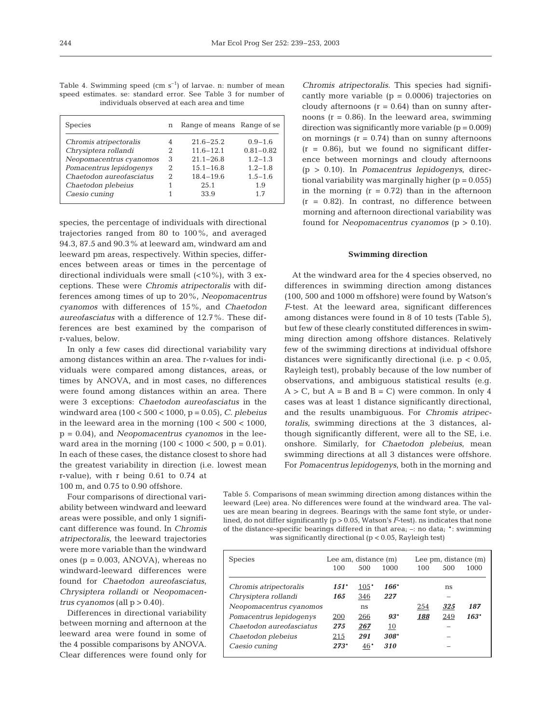| Table 4. Swimming speed (cm $s^{-1}$ ) of larvae. n: number of mean |                                            |  |  |  |  |
|---------------------------------------------------------------------|--------------------------------------------|--|--|--|--|
| speed estimates, se: standard error. See Table 3 for number of      |                                            |  |  |  |  |
|                                                                     | individuals observed at each area and time |  |  |  |  |

| <b>Species</b>           | n | Range of means Range of se |               |
|--------------------------|---|----------------------------|---------------|
| Chromis atripectoralis   |   | $21.6 - 25.2$              | $0.9 - 1.6$   |
| Chrysiptera rollandi     |   | $11.6 - 12.1$              | $0.81 - 0.82$ |
| Neopomacentrus cyanomos  | 3 | $21.1 - 26.8$              | $1.2 - 1.3$   |
| Pomacentrus lepidogenys  | 2 | $15.1 - 16.8$              | $1.2 - 1.8$   |
| Chaetodon aureofasciatus | 2 | $18.4 - 19.6$              | $1.5 - 1.6$   |
| Chaetodon plebeius       |   | 25.1                       | 1.9           |
| Caesio cuning            |   | 33.9                       | 17            |
|                          |   |                            |               |

species, the percentage of individuals with directional trajectories ranged from 80 to 100%, and averaged 94.3, 87.5 and 90.3% at leeward am, windward am and leeward pm areas, respectively. Within species, differences between areas or times in the percentage of directional individuals were small (<10%), with 3 exceptions. These were *Chromis atripectoralis* with differences among times of up to 20%, *Neopomacentrus cyanomos* with differences of 15%, and *Chaetodon aureofasciatus* with a difference of 12.7%. These differences are best examined by the comparison of r-values, below.

In only a few cases did directional variability vary among distances within an area. The r-values for individuals were compared among distances, areas, or times by ANOVA, and in most cases, no differences were found among distances within an area. There were 3 exceptions: *Chaetodon aureofasciatus* in the windward area (100 < 500 < 1000, p = 0.05), *C. plebeius* in the leeward area in the morning  $(100 < 500 < 1000)$ , p = 0.04), and *Neopomacentrus cyanomos* in the leeward area in the morning  $(100 < 1000 < 500, p = 0.01)$ . In each of these cases, the distance closest to shore had the greatest variability in direction (i.e. lowest mean r-value), with r being 0.61 to 0.74 at 100 m, and 0.75 to 0.90 offshore.

Four comparisons of directional variability between windward and leeward areas were possible, and only 1 significant difference was found. In *Chromis atripectoralis*, the leeward trajectories were more variable than the windward ones ( $p = 0.003$ , ANOVA), whereas no windward-leeward differences were found for *Chaetodon aureofasciatus*, *Chrysiptera rollandi* or *Neopomacentrus cyanomos* (all  $p > 0.40$ ).

Differences in directional variability between morning and afternoon at the leeward area were found in some of the 4 possible comparisons by ANOVA. Clear differences were found only for

*Chromis atripectoralis*. This species had significantly more variable  $(p = 0.0006)$  trajectories on cloudy afternoons  $(r = 0.64)$  than on sunny afternoons  $(r = 0.86)$ . In the leeward area, swimming direction was significantly more variable  $(p = 0.009)$ on mornings  $(r = 0.74)$  than on sunny afternoons  $(r = 0.86)$ , but we found no significant difference between mornings and cloudy afternoons (p > 0.10). In *Pomacentrus lepidogenys*, directional variability was marginally higher  $(p = 0.055)$ in the morning  $(r = 0.72)$  than in the afternoon  $(r = 0.82)$ . In contrast, no difference between morning and afternoon directional variability was found for *Neopomacentrus cyanomos* (p > 0.10).

#### **Swimming direction**

At the windward area for the 4 species observed, no differences in swimming direction among distances (100, 500 and 1000 m offshore) were found by Watson's *F*-test. At the leeward area, significant differences among distances were found in 8 of 10 tests (Table 5), but few of these clearly constituted differences in swimming direction among offshore distances. Relatively few of the swimming directions at individual offshore distances were significantly directional (i.e. p < 0.05, Rayleigh test), probably because of the low number of observations, and ambiguous statistical results (e.g.  $A > C$ , but  $A = B$  and  $B = C$ ) were common. In only 4 cases was at least 1 distance significantly directional, and the results unambiguous. For *Chromis atripectoralis*, swimming directions at the 3 distances, although significantly different, were all to the SE, i.e. onshore. Similarly, for *Chaetodon plebeius*, mean swimming directions at all 3 distances were offshore. For *Pomacentrus lepidogenys*, both in the morning and

Table 5. Comparisons of mean swimming direction among distances within the leeward (Lee) area. No differences were found at the windward area. The values are mean bearing in degrees. Bearings with the same font style, or underlined, do not differ significantly (p > 0.05, Watson's *F*-test). ns indicates that none of the distance-specific bearings differed in that area;  $-$ : no data;  $*$ : swimming was significantly directional (p < 0.05, Rayleigh test)

| Species                  |        | Lee am, distance (m) |        |     | Lee pm, distance $(m)$ |        |  |  |
|--------------------------|--------|----------------------|--------|-----|------------------------|--------|--|--|
|                          | 100    | 500                  | 1000   | 100 | 500                    | 1000   |  |  |
| Chromis atripectoralis   | $151*$ | $105*$               | 166*   |     | ns                     |        |  |  |
| Chrysiptera rollandi     | 165    | 346                  | 227    |     |                        |        |  |  |
| Neopomacentrus cyanomos  |        | ns                   |        | 254 | 325                    | 187    |  |  |
| Pomacentrus lepidogenys  | 200    | 266                  | $93*$  | 188 | 249                    | $163*$ |  |  |
| Chaetodon aureofasciatus | 275    | 267                  | 10     |     |                        |        |  |  |
| Chaetodon plebeius       | 215    | 291                  | $308*$ |     |                        |        |  |  |
| Caesio cuning            | $273*$ | 46*                  | 310    |     |                        |        |  |  |
|                          |        |                      |        |     |                        |        |  |  |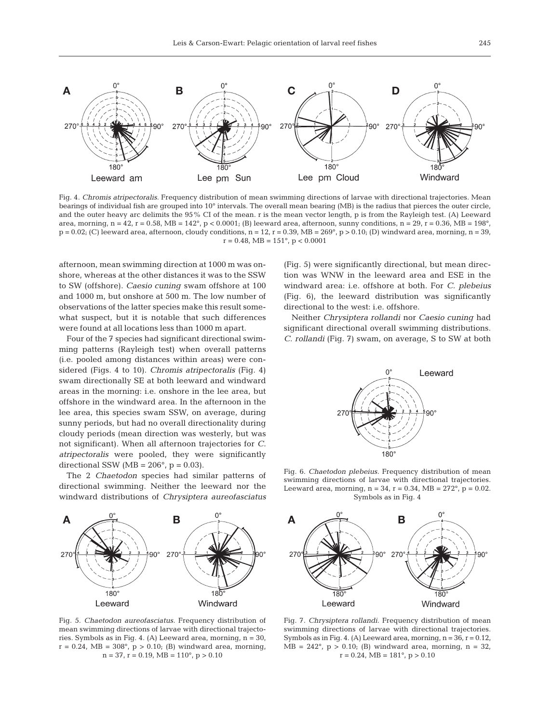

Fig. 4. *Chromis atripectoralis.* Frequency distribution of mean swimming directions of larvae with directional trajectories. Mean bearings of individual fish are grouped into 10° intervals. The overall mean bearing (MB) is the radius that pierces the outer circle, and the outer heavy arc delimits the 95% CI of the mean. r is the mean vector length, p is from the Rayleigh test. (A) Leeward area, morning,  $n = 42$ ,  $r = 0.58$ , MB =  $142^{\circ}$ ,  $p < 0.0001$ ; (B) leeward area, afternoon, sunny conditions,  $n = 29$ ,  $r = 0.36$ , MB =  $198^{\circ}$ ,  $p = 0.02$ ; (C) leeward area, afternoon, cloudy conditions,  $n = 12$ ,  $r = 0.39$ , MB = 269°,  $p > 0.10$ ; (D) windward area, morning,  $n = 39$ ,  $r = 0.48$ , MB =  $151^{\circ}$ , p < 0.0001

afternoon*,* mean swimming direction at 1000 m was onshore, whereas at the other distances it was to the SSW to SW (offshore). *Caesio cuning* swam offshore at 100 and 1000 m, but onshore at 500 m. The low number of observations of the latter species make this result somewhat suspect, but it is notable that such differences were found at all locations less than 1000 m apart.

Four of the 7 species had significant directional swimming patterns (Rayleigh test) when overall patterns (i.e. pooled among distances within areas) were considered (Figs. 4 to 10). *Chromis atripectoralis* (Fig. 4) swam directionally SE at both leeward and windward areas in the morning: i.e. onshore in the lee area, but offshore in the windward area. In the afternoon in the lee area, this species swam SSW, on average, during sunny periods, but had no overall directionality during cloudy periods (mean direction was westerly, but was not significant). When all afternoon trajectories for *C. atripectoralis* were pooled, they were significantly directional SSW ( $MB = 206^\circ$ , p = 0.03).

The 2 *Chaetodon* species had similar patterns of directional swimming. Neither the leeward nor the windward distributions of *Chrysiptera aureofasciatus*



Fig. 5. *Chaetodon aureofasciatus.* Frequency distribution of mean swimming directions of larvae with directional trajectories. Symbols as in Fig. 4. (A) Leeward area, morning, n = 30,  $r = 0.24$ , MB = 308°, p > 0.10; (B) windward area, morning,  $n = 37$ ,  $r = 0.19$ ,  $MB = 110^{\circ}$ ,  $p > 0.10$ 

(Fig. 5) were significantly directional, but mean direction was WNW in the leeward area and ESE in the windward area: i.e. offshore at both. For *C. plebeius* (Fig. 6), the leeward distribution was significantly directional to the west: i.e. offshore.

Neither *Chrysiptera rollandi* nor *Caesio cuning* had significant directional overall swimming distributions. *C. rollandi* (Fig. 7) swam, on average, S to SW at both



Fig. 6. *Chaetodon plebeius.* Frequency distribution of mean swimming directions of larvae with directional trajectories. Leeward area, morning,  $n = 34$ ,  $r = 0.34$ , MB = 272°,  $p = 0.02$ . Symbols as in Fig. 4



Fig. 7. *Chrysiptera rollandi.* Frequency distribution of mean swimming directions of larvae with directional trajectories. Symbols as in Fig. 4. (A) Leeward area, morning,  $n = 36$ ,  $r = 0.12$ ,  $MB = 242^{\circ}$ ,  $p > 0.10$ ; (B) windward area, morning,  $n = 32$ ,  $r = 0.24$ , MB = 181 $\degree$ , p > 0.10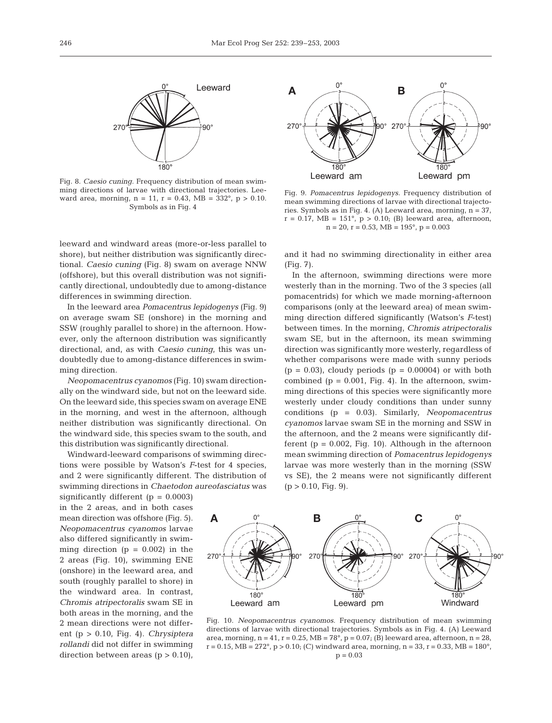

Fig. 8. *Caesio cuning.* Frequency distribution of mean swimming directions of larvae with directional trajectories. Leeward area, morning,  $n = 11$ ,  $r = 0.43$ ,  $MB = 332^{\circ}$ ,  $p > 0.10$ . Symbols as in Fig. 4

leeward and windward areas (more-or-less parallel to shore), but neither distribution was significantly directional. *Caesio cuning* (Fig. 8) swam on average NNW (offshore), but this overall distribution was not significantly directional, undoubtedly due to among-distance differences in swimming direction.

In the leeward area *Pomacentrus lepidogenys* (Fig. 9) on average swam SE (onshore) in the morning and SSW (roughly parallel to shore) in the afternoon. However, only the afternoon distribution was significantly directional, and, as with *Caesio cuning*, this was undoubtedly due to among-distance differences in swimming direction.

*Neopomacentrus cyanomos* (Fig. 10) swam directionally on the windward side, but not on the leeward side. On the leeward side, this species swam on average ENE in the morning, and west in the afternoon, although neither distribution was significantly directional. On the windward side, this species swam to the south, and this distribution was significantly directional.

Windward-leeward comparisons of swimming directions were possible by Watson's *F*-test for 4 species, and 2 were significantly different. The distribution of swimming directions in *Chaetodon aureofasciatus* was

significantly different  $(p = 0.0003)$ in the 2 areas, and in both cases mean direction was offshore (Fig. 5). *Neopomacentrus cyanomos* larvae also differed significantly in swimming direction  $(p = 0.002)$  in the 2 areas (Fig. 10), swimming ENE (onshore) in the leeward area, and south (roughly parallel to shore) in the windward area. In contrast, *Chromis atripectoralis* swam SE in both areas in the morning, and the 2 mean directions were not different (p > 0.10, Fig. 4). *Chrysiptera rollandi* did not differ in swimming direction between areas  $(p > 0.10)$ ,



Fig. 9. *Pomacentrus lepidogenys.* Frequency distribution of mean swimming directions of larvae with directional trajectories. Symbols as in Fig. 4. (A) Leeward area, morning, n = 37,  $r = 0.17$ , MB = 151°,  $p > 0.10$ ; (B) leeward area, afternoon,  $n = 20$ ,  $r = 0.53$ ,  $MB = 195^\circ$ ,  $p = 0.003$ 

and it had no swimming directionality in either area (Fig. 7).

In the afternoon, swimming directions were more westerly than in the morning. Two of the 3 species (all pomacentrids) for which we made morning-afternoon comparisons (only at the leeward area) of mean swimming direction differed significantly (Watson's *F*-test) between times. In the morning, *Chromis atripectoralis* swam SE, but in the afternoon, its mean swimming direction was significantly more westerly, regardless of whether comparisons were made with sunny periods  $(p = 0.03)$ , cloudy periods  $(p = 0.00004)$  or with both combined ( $p = 0.001$ , Fig. 4). In the afternoon, swimming directions of this species were significantly more westerly under cloudy conditions than under sunny conditions (p = 0.03). Similarly, *Neopomacentrus cyanomos* larvae swam SE in the morning and SSW in the afternoon, and the 2 means were significantly different ( $p = 0.002$ , Fig. 10). Although in the afternoon mean swimming direction of *Pomacentrus lepidogenys* larvae was more westerly than in the morning (SSW vs SE), the 2 means were not significantly different  $(p > 0.10, Fig. 9)$ .



Fig. 10. *Neopomacentrus cyanomos.* Frequency distribution of mean swimming directions of larvae with directional trajectories. Symbols as in Fig. 4. (A) Leeward area, morning,  $n = 41$ ,  $r = 0.25$ , MB = 78°,  $p = 0.07$ ; (B) leeward area, afternoon,  $n = 28$ ,  $r = 0.15$ , MB = 272°, p > 0.10; (C) windward area, morning, n = 33, r = 0.33, MB = 180°,  $p = 0.03$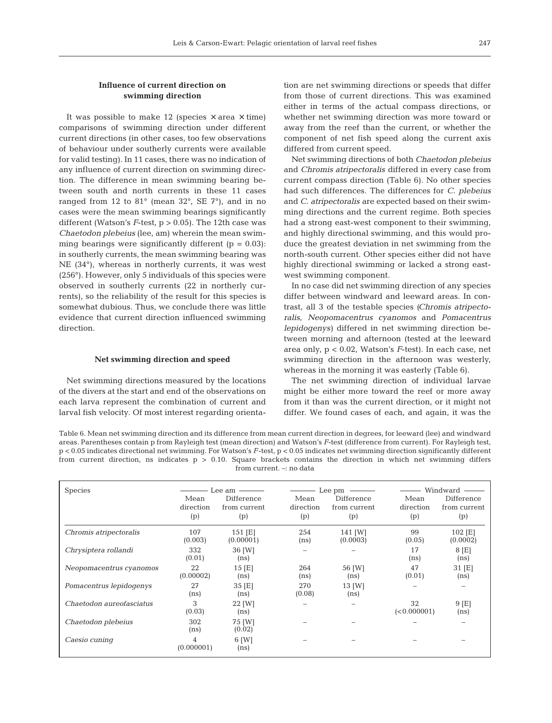# **Influence of current direction on swimming direction**

It was possible to make 12 (species  $\times$  area  $\times$  time) comparisons of swimming direction under different current directions (in other cases, too few observations of behaviour under southerly currents were available for valid testing). In 11 cases, there was no indication of any influence of current direction on swimming direction. The difference in mean swimming bearing between south and north currents in these 11 cases ranged from 12 to 81° (mean 32°, SE 7°), and in no cases were the mean swimming bearings significantly different (Watson's *F*-test, p > 0.05). The 12th case was *Chaetodon plebeius* (lee, am) wherein the mean swimming bearings were significantly different  $(p = 0.03)$ : in southerly currents, the mean swimming bearing was NE (34°), whereas in northerly currents, it was west (256°). However, only 5 individuals of this species were observed in southerly currents (22 in northerly currents), so the reliability of the result for this species is somewhat dubious. Thus, we conclude there was little evidence that current direction influenced swimming direction.

#### **Net swimming direction and speed**

Net swimming directions measured by the locations of the divers at the start and end of the observations on each larva represent the combination of current and larval fish velocity. Of most interest regarding orienta-

tion are net swimming directions or speeds that differ from those of current directions. This was examined either in terms of the actual compass directions, or whether net swimming direction was more toward or away from the reef than the current, or whether the component of net fish speed along the current axis differed from current speed.

Net swimming directions of both *Chaetodon plebeius* and *Chromis atripectoralis* differed in every case from current compass direction (Table 6). No other species had such differences. The differences for *C. plebeius* and *C. atripectoralis* are expected based on their swimming directions and the current regime. Both species had a strong east-west component to their swimming, and highly directional swimming, and this would produce the greatest deviation in net swimming from the north-south current. Other species either did not have highly directional swimming or lacked a strong eastwest swimming component.

In no case did net swimming direction of any species differ between windward and leeward areas. In contrast, all 3 of the testable species *(Chromis atripectoralis, Neopomacentrus cyanomos* and *Pomacentrus lepidogenys)* differed in net swimming direction between morning and afternoon (tested at the leeward area only, p < 0.02, Watson's *F*-test). In each case, net swimming direction in the afternoon was westerly, whereas in the morning it was easterly (Table 6).

The net swimming direction of individual larvae might be either more toward the reef or more away from it than was the current direction, or it might not differ. We found cases of each, and again, it was the

Table 6. Mean net swimming direction and its difference from mean current direction in degrees, for leeward (lee) and windward areas. Parentheses contain p from Rayleigh test (mean direction) and Watson's *F-*test (difference from current). For Rayleigh test, p < 0.05 indicates directional net swimming. For Watson's *F*-test, p < 0.05 indicates net swimming direction significantly different from current direction, ns indicates p > 0.10. Square brackets contains the direction in which net swimming differs from current. –: no data

| <b>Species</b>           | Mean<br>direction<br>(p) | Lee am $\longrightarrow$<br>Difference<br>from current<br>(p) | Mean<br>direction<br>(p) | $\frac{1}{\sqrt{1-\frac{1}{2}}}\csc{\frac{1}{2}}$ Lee pm<br>Difference<br>from current<br>(p) | Mean<br>direction<br>(p) | Windward —<br>Difference<br>from current<br>(p) |
|--------------------------|--------------------------|---------------------------------------------------------------|--------------------------|-----------------------------------------------------------------------------------------------|--------------------------|-------------------------------------------------|
| Chromis atripectoralis   | 107<br>(0.003)           | $151$ [E]<br>(0.00001)                                        | 254<br>(n <sub>s</sub> ) | 141 [W]<br>(0.0003)                                                                           | 99<br>(0.05)             | 102 [E]<br>(0.0002)                             |
| Chrysiptera rollandi     | 332<br>(0.01)            | 36 [W]<br>(n <sub>s</sub> )                                   |                          |                                                                                               | 17<br>(n <sub>s</sub> )  | $8$ [E]<br>(n <sub>s</sub> )                    |
| Neopomacentrus cyanomos  | 22<br>(0.00002)          | $15$ [E]<br>(n <sub>s</sub> )                                 | 264<br>(n <sub>s</sub> ) | 56 [W]<br>(n <sub>s</sub> )                                                                   | 47<br>(0.01)             | 31 [E]<br>(n <sub>s</sub> )                     |
| Pomacentrus lepidogenys  | 27<br>(n <sub>s</sub> )  | 35 [E]<br>(n <sub>s</sub> )                                   | 270<br>(0.08)            | 13 [W]<br>(n <sub>s</sub> )                                                                   |                          |                                                 |
| Chaetodon aureofasciatus | 3<br>(0.03)              | 22 [W]<br>(n <sub>s</sub> )                                   |                          |                                                                                               | 32<br>(< 0.000001)       | $9$ [E]<br>(n <sub>s</sub> )                    |
| Chaetodon plebeius       | 302<br>(n <sub>s</sub> ) | 75 [W]<br>(0.02)                                              |                          |                                                                                               |                          |                                                 |
| Caesio cuning            | 4<br>(0.000001)          | 6 [W]<br>(n <sub>s</sub> )                                    |                          |                                                                                               |                          |                                                 |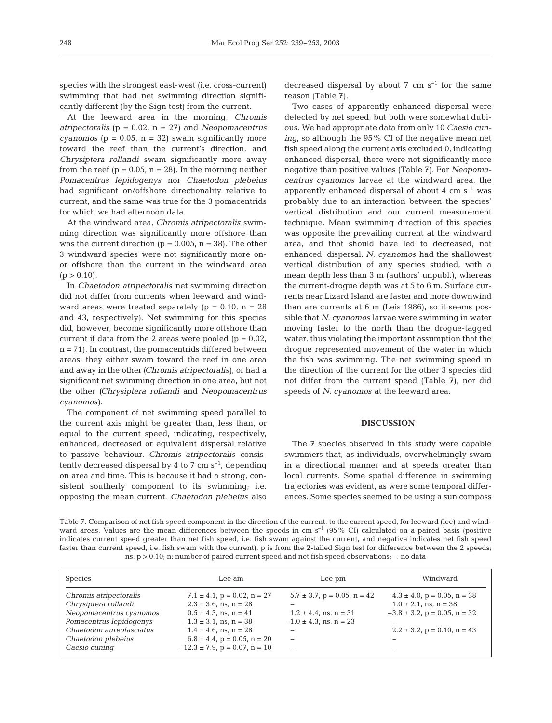species with the strongest east-west (i.e. cross-current) swimming that had net swimming direction significantly different (by the Sign test) from the current.

At the leeward area in the morning, *Chromis atripectoralis* (p = 0.02, n = 27) and *Neopomacentrus cyanomos* ( $p = 0.05$ ,  $n = 32$ ) swam significantly more toward the reef than the current's direction, and *Chrysiptera rollandi* swam significantly more away from the reef ( $p = 0.05$ ,  $n = 28$ ). In the morning neither *Pomacentrus lepidogenys* nor *Chaetodon plebeius* had significant on/offshore directionality relative to current, and the same was true for the 3 pomacentrids for which we had afternoon data.

At the windward area, *Chromis atripectoralis* swimming direction was significantly more offshore than was the current direction ( $p = 0.005$ ,  $n = 38$ ). The other 3 windward species were not significantly more onor offshore than the current in the windward area  $(p > 0.10)$ .

In *Chaetodon atripectoralis* net swimming direction did not differ from currents when leeward and windward areas were treated separately  $(p = 0.10, n = 28)$ and 43, respectively). Net swimming for this species did, however, become significantly more offshore than current if data from the 2 areas were pooled ( $p = 0.02$ ,  $n = 71$ . In contrast, the pomacentrids differed between areas: they either swam toward the reef in one area and away in the other *(Chromis atripectoralis)*, or had a significant net swimming direction in one area, but not the other *(Chrysiptera rollandi* and *Neopomacentrus cyanomos)*.

The component of net swimming speed parallel to the current axis might be greater than, less than, or equal to the current speed, indicating, respectively, enhanced, decreased or equivalent dispersal relative to passive behaviour. *Chromis atripectoralis* consistently decreased dispersal by 4 to 7 cm  $s^{-1}$ , depending on area and time. This is because it had a strong, consistent southerly component to its swimming; i.e. opposing the mean current. *Chaetodon plebeius* also

decreased dispersal by about 7 cm  $s^{-1}$  for the same reason (Table 7).

Two cases of apparently enhanced dispersal were detected by net speed, but both were somewhat dubious. We had appropriate data from only 10 *Caesio cuning*, so although the 95% CI of the negative mean net fish speed along the current axis excluded 0, indicating enhanced dispersal, there were not significantly more negative than positive values (Table 7). For *Neopomacentrus cyanomos* larvae at the windward area, the apparently enhanced dispersal of about  $4 \text{ cm s}^{-1}$  was probably due to an interaction between the species' vertical distribution and our current measurement technique. Mean swimming direction of this species was opposite the prevailing current at the windward area, and that should have led to decreased, not enhanced, dispersal. *N. cyanomos* had the shallowest vertical distribution of any species studied, with a mean depth less than 3 m (authors' unpubl.), whereas the current-drogue depth was at 5 to 6 m. Surface currents near Lizard Island are faster and more downwind than are currents at 6 m (Leis 1986), so it seems possible that *N. cyanomos* larvae were swimming in water moving faster to the north than the drogue-tagged water, thus violating the important assumption that the drogue represented movement of the water in which the fish was swimming. The net swimming speed in the direction of the current for the other 3 species did not differ from the current speed (Table 7), nor did speeds of *N. cyanomos* at the leeward area.

# **DISCUSSION**

The 7 species observed in this study were capable swimmers that, as individuals, overwhelmingly swam in a directional manner and at speeds greater than local currents. Some spatial difference in swimming trajectories was evident, as were some temporal differences. Some species seemed to be using a sun compass

Table 7. Comparison of net fish speed component in the direction of the current, to the current speed, for leeward (lee) and windward areas. Values are the mean differences between the speeds in cm  $s^{-1}$  (95% CI) calculated on a paired basis (positive indicates current speed greater than net fish speed, i.e. fish swam against the current, and negative indicates net fish speed faster than current speed, i.e. fish swam with the current). p is from the 2-tailed Sign test for difference between the 2 speeds; ns:  $p > 0.10$ ; n: number of paired current speed and net fish speed observations;  $-$ : no data

| <b>Species</b>                                                                                                                   | Lee am                                                                                                                                                    | Lee pm                                                                                                  | Windward                                                                                                                                |
|----------------------------------------------------------------------------------------------------------------------------------|-----------------------------------------------------------------------------------------------------------------------------------------------------------|---------------------------------------------------------------------------------------------------------|-----------------------------------------------------------------------------------------------------------------------------------------|
| Chromis atripectoralis<br>Chrysiptera rollandi<br>Neopomacentrus cyanomos<br>Pomacentrus lepidogenys<br>Chaetodon aureofasciatus | $7.1 \pm 4.1$ , p = 0.02, n = 27<br>$2.3 \pm 3.6$ , ns, n = 28<br>$0.5 \pm 4.3$ , ns, n = 41<br>$-1.3 \pm 3.1$ , ns, n = 38<br>$1.4 \pm 4.6$ , ns, n = 28 | $5.7 \pm 3.7$ , p = 0.05, n = 42<br>-<br>$1.2 \pm 4.4$ , ns, n = 31<br>$-1.0 \pm 4.3$ , ns, n = 23<br>- | $4.3 \pm 4.0$ , p = 0.05, n = 38<br>$1.0 \pm 2.1$ , ns, n = 38<br>$-3.8 \pm 3.2$ , p = 0.05, n = 32<br>$2.2 \pm 3.2$ , p = 0.10, n = 43 |
| Chaetodon plebeius<br>Caesio cuning                                                                                              | $6.8 \pm 4.4$ , p = 0.05, n = 20<br>$-12.3 \pm 7.9$ , p = 0.07, n = 10                                                                                    | $\qquad \qquad -$<br>$\overline{\phantom{a}}$                                                           | -                                                                                                                                       |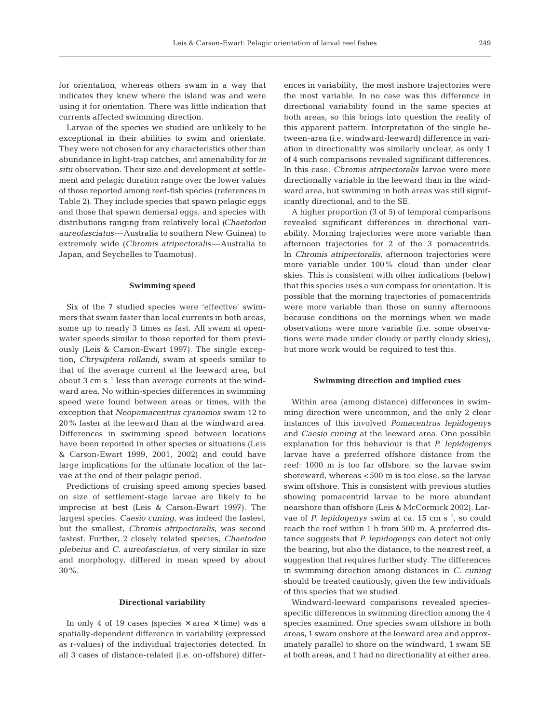for orientation, whereas others swam in a way that indicates they knew where the island was and were using it for orientation. There was little indication that currents affected swimming direction.

Larvae of the species we studied are unlikely to be exceptional in their abilities to swim and orientate. They were not chosen for any characteristics other than abundance in light-trap catches, and amenability for *in situ* observation. Their size and development at settlement and pelagic duration range over the lower values of those reported among reef-fish species (references in Table 2). They include species that spawn pelagic eggs and those that spawn demersal eggs, and species with distributions ranging from relatively local *(Chaetodon aureofasciatus—*Australia to southern New Guinea) to extremely wide (*Chromis atripectoralis—*Australia to Japan, and Seychelles to Tuamotus).

## **Swimming speed**

Six of the 7 studied species were 'effective' swimmers that swam faster than local currents in both areas, some up to nearly 3 times as fast. All swam at openwater speeds similar to those reported for them previously (Leis & Carson-Ewart 1997). The single exception, *Chrysiptera rollandi*, swam at speeds similar to that of the average current at the leeward area, but about 3 cm  $s^{-1}$  less than average currents at the windward area. No within-species differences in swimming speed were found between areas or times, with the exception that *Neopomacentrus cyanomos* swam 12 to 20% faster at the leeward than at the windward area. Differences in swimming speed between locations have been reported in other species or situations (Leis & Carson-Ewart 1999, 2001, 2002) and could have large implications for the ultimate location of the larvae at the end of their pelagic period.

Predictions of cruising speed among species based on size of settlement-stage larvae are likely to be imprecise at best (Leis & Carson-Ewart 1997). The largest species, *Caesio cuning,* was indeed the fastest, but the smallest, *Chromis atripectoralis,* was second fastest. Further, 2 closely related species, *Chaetodon plebeius* and *C. aureofasciatus,* of very similar in size and morphology, differed in mean speed by about 30%.

# **Directional variability**

In only 4 of 19 cases (species  $\times$  area  $\times$  time) was a spatially-dependent difference in variability (expressed as r-values) of the individual trajectories detected. In all 3 cases of distance-related (i.e. on-offshore) differ-

ences in variability, the most inshore trajectories were the most variable. In no case was this difference in directional variability found in the same species at both areas, so this brings into question the reality of this apparent pattern. Interpretation of the single between-area (i.e. windward-leeward) difference in variation in directionality was similarly unclear, as only 1 of 4 such comparisons revealed significant differences. In this case, *Chromis atripectoralis* larvae were more directionally variable in the leeward than in the windward area, but swimming in both areas was still significantly directional, and to the SE.

A higher proportion (3 of 5) of temporal comparisons revealed significant differences in directional variability. Morning trajectories were more variable than afternoon trajectories for 2 of the 3 pomacentrids. In *Chromis atripectoralis*, afternoon trajectories were more variable under 100% cloud than under clear skies. This is consistent with other indications (below) that this species uses a sun compass for orientation. It is possible that the morning trajectories of pomacentrids were more variable than those on sunny afternoons because conditions on the mornings when we made observations were more variable (i.e. some observations were made under cloudy or partly cloudy skies), but more work would be required to test this.

#### **Swimming direction and implied cues**

Within area (among distance) differences in swimming direction were uncommon, and the only 2 clear instances of this involved *Pomacentrus lepidogenys* and *Caesio cuning* at the leeward area. One possible explanation for this behaviour is that *P. lepidogenys* larvae have a preferred offshore distance from the reef: 1000 m is too far offshore, so the larvae swim shoreward, whereas <500 m is too close, so the larvae swim offshore. This is consistent with previous studies showing pomacentrid larvae to be more abundant nearshore than offshore (Leis & McCormick 2002). Larvae of *P. lepidogenys* swim at ca. 15 cm s<sup>-1</sup>, so could reach the reef within 1 h from 500 m. A preferred distance suggests that *P. lepidogenys* can detect not only the bearing, but also the distance, to the nearest reef, a suggestion that requires further study. The differences in swimming direction among distances in *C. cuning* should be treated cautiously, given the few individuals of this species that we studied.

Windward-leeward comparisons revealed speciesspecific differences in swimming direction among the 4 species examined. One species swam offshore in both areas, 1 swam onshore at the leeward area and approximately parallel to shore on the windward, 1 swam SE at both areas, and 1 had no directionality at either area.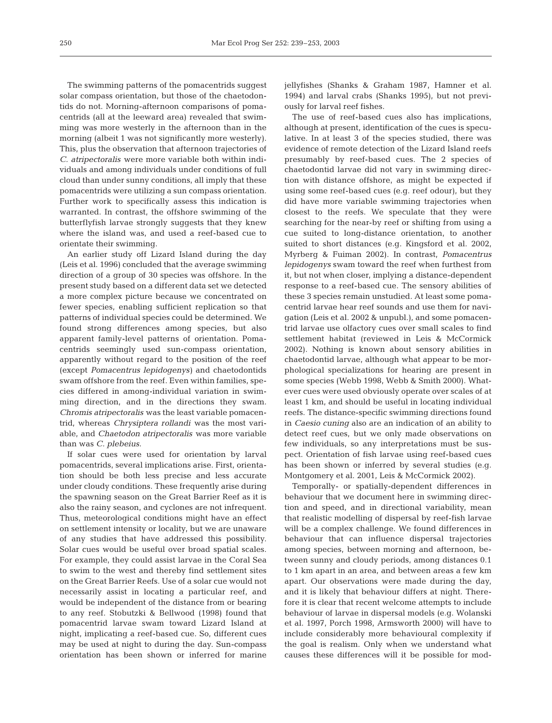The swimming patterns of the pomacentrids suggest solar compass orientation, but those of the chaetodontids do not. Morning-afternoon comparisons of pomacentrids (all at the leeward area) revealed that swimming was more westerly in the afternoon than in the morning (albeit 1 was not significantly more westerly). This, plus the observation that afternoon trajectories of *C. atripectoralis* were more variable both within individuals and among individuals under conditions of full cloud than under sunny conditions, all imply that these pomacentrids were utilizing a sun compass orientation. Further work to specifically assess this indication is warranted. In contrast, the offshore swimming of the butterflyfish larvae strongly suggests that they knew where the island was, and used a reef-based cue to orientate their swimming.

An earlier study off Lizard Island during the day (Leis et al. 1996) concluded that the average swimming direction of a group of 30 species was offshore. In the present study based on a different data set we detected a more complex picture because we concentrated on fewer species, enabling sufficient replication so that patterns of individual species could be determined. We found strong differences among species, but also apparent family-level patterns of orientation. Pomacentrids seemingly used sun-compass orientation, apparently without regard to the position of the reef (except *Pomacentrus lepidogenys)* and chaetodontids swam offshore from the reef. Even within families, species differed in among-individual variation in swimming direction, and in the directions they swam. *Chromis atripectoralis* was the least variable pomacentrid, whereas *Chrysiptera rollandi* was the most variable, and *Chaetodon atripectoralis* was more variable than was *C. plebeius.*

If solar cues were used for orientation by larval pomacentrids, several implications arise. First, orientation should be both less precise and less accurate under cloudy conditions. These frequently arise during the spawning season on the Great Barrier Reef as it is also the rainy season, and cyclones are not infrequent. Thus, meteorological conditions might have an effect on settlement intensity or locality, but we are unaware of any studies that have addressed this possibility. Solar cues would be useful over broad spatial scales. For example, they could assist larvae in the Coral Sea to swim to the west and thereby find settlement sites on the Great Barrier Reefs. Use of a solar cue would not necessarily assist in locating a particular reef, and would be independent of the distance from or bearing to any reef. Stobutzki & Bellwood (1998) found that pomacentrid larvae swam toward Lizard Island at night, implicating a reef-based cue. So, different cues may be used at night to during the day. Sun-compass orientation has been shown or inferred for marine jellyfishes (Shanks & Graham 1987, Hamner et al. 1994) and larval crabs (Shanks 1995), but not previously for larval reef fishes.

The use of reef-based cues also has implications, although at present, identification of the cues is speculative. In at least 3 of the species studied, there was evidence of remote detection of the Lizard Island reefs presumably by reef-based cues. The 2 species of chaetodontid larvae did not vary in swimming direction with distance offshore, as might be expected if using some reef-based cues (e.g. reef odour), but they did have more variable swimming trajectories when closest to the reefs. We speculate that they were searching for the near-by reef or shifting from using a cue suited to long-distance orientation, to another suited to short distances (e.g. Kingsford et al. 2002, Myrberg & Fuiman 2002). In contrast, *Pomacentrus lepidogenys* swam toward the reef when furthest from it, but not when closer, implying a distance-dependent response to a reef-based cue. The sensory abilities of these 3 species remain unstudied. At least some pomacentrid larvae hear reef sounds and use them for navigation (Leis et al. 2002 & unpubl.), and some pomacentrid larvae use olfactory cues over small scales to find settlement habitat (reviewed in Leis & McCormick 2002). Nothing is known about sensory abilities in chaetodontid larvae, although what appear to be morphological specializations for hearing are present in some species (Webb 1998, Webb & Smith 2000). Whatever cues were used obviously operate over scales of at least 1 km, and should be useful in locating individual reefs. The distance-specific swimming directions found in *Caesio cuning* also are an indication of an ability to detect reef cues, but we only made observations on few individuals, so any interpretations must be suspect. Orientation of fish larvae using reef-based cues has been shown or inferred by several studies (e.g. Montgomery et al. 2001, Leis & McCormick 2002).

Temporally- or spatially-dependent differences in behaviour that we document here in swimming direction and speed, and in directional variability, mean that realistic modelling of dispersal by reef-fish larvae will be a complex challenge. We found differences in behaviour that can influence dispersal trajectories among species, between morning and afternoon, between sunny and cloudy periods, among distances 0.1 to 1 km apart in an area, and between areas a few km apart. Our observations were made during the day, and it is likely that behaviour differs at night. Therefore it is clear that recent welcome attempts to include behaviour of larvae in dispersal models (e.g. Wolanski et al. 1997, Porch 1998, Armsworth 2000) will have to include considerably more behavioural complexity if the goal is realism. Only when we understand what causes these differences will it be possible for mod-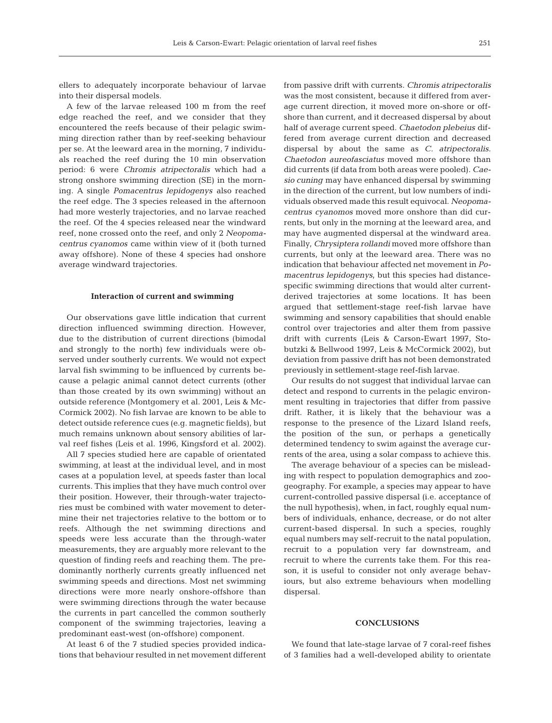ellers to adequately incorporate behaviour of larvae into their dispersal models.

A few of the larvae released 100 m from the reef edge reached the reef, and we consider that they encountered the reefs because of their pelagic swimming direction rather than by reef-seeking behaviour per se. At the leeward area in the morning, 7 individuals reached the reef during the 10 min observation period: 6 were *Chromis atripectoralis* which had a strong onshore swimming direction (SE) in the morning. A single *Pomacentrus lepidogenys* also reached the reef edge. The 3 species released in the afternoon had more westerly trajectories, and no larvae reached the reef. Of the 4 species released near the windward reef, none crossed onto the reef, and only 2 *Neopomacentrus cyanomos* came within view of it (both turned away offshore). None of these 4 species had onshore average windward trajectories.

#### **Interaction of current and swimming**

Our observations gave little indication that current direction influenced swimming direction. However, due to the distribution of current directions (bimodal and strongly to the north) few individuals were observed under southerly currents. We would not expect larval fish swimming to be influenced by currents because a pelagic animal cannot detect currents (other than those created by its own swimming) without an outside reference (Montgomery et al. 2001, Leis & Mc-Cormick 2002). No fish larvae are known to be able to detect outside reference cues (e.g. magnetic fields), but much remains unknown about sensory abilities of larval reef fishes (Leis et al. 1996, Kingsford et al. 2002).

All 7 species studied here are capable of orientated swimming, at least at the individual level, and in most cases at a population level, at speeds faster than local currents. This implies that they have much control over their position. However, their through-water trajectories must be combined with water movement to determine their net trajectories relative to the bottom or to reefs. Although the net swimming directions and speeds were less accurate than the through-water measurements, they are arguably more relevant to the question of finding reefs and reaching them. The predominantly northerly currents greatly influenced net swimming speeds and directions. Most net swimming directions were more nearly onshore-offshore than were swimming directions through the water because the currents in part cancelled the common southerly component of the swimming trajectories, leaving a predominant east-west (on-offshore) component.

At least 6 of the 7 studied species provided indications that behaviour resulted in net movement different

from passive drift with currents. *Chromis atripectoralis* was the most consistent, because it differed from average current direction, it moved more on-shore or offshore than current, and it decreased dispersal by about half of average current speed. *Chaetodon plebeius* differed from average current direction and decreased dispersal by about the same as *C. atripectoralis. Chaetodon aureofasciatus* moved more offshore than did currents (if data from both areas were pooled). *Caesio cuning* may have enhanced dispersal by swimming in the direction of the current, but low numbers of individuals observed made this result equivocal. *Neopomacentrus cyanomos* moved more onshore than did currents, but only in the morning at the leeward area, and may have augmented dispersal at the windward area. Finally, *Chrysiptera rollandi* moved more offshore than currents, but only at the leeward area. There was no indication that behaviour affected net movement in *Pomacentrus lepidogenys,* but this species had distancespecific swimming directions that would alter currentderived trajectories at some locations*.* It has been argued that settlement-stage reef-fish larvae have swimming and sensory capabilities that should enable control over trajectories and alter them from passive drift with currents (Leis & Carson-Ewart 1997, Stobutzki & Bellwood 1997, Leis & McCormick 2002), but deviation from passive drift has not been demonstrated previously in settlement-stage reef-fish larvae.

Our results do not suggest that individual larvae can detect and respond to currents in the pelagic environment resulting in trajectories that differ from passive drift. Rather, it is likely that the behaviour was a response to the presence of the Lizard Island reefs, the position of the sun, or perhaps a genetically determined tendency to swim against the average currents of the area, using a solar compass to achieve this.

The average behaviour of a species can be misleading with respect to population demographics and zoogeography. For example, a species may appear to have current-controlled passive dispersal (i.e. acceptance of the null hypothesis), when, in fact, roughly equal numbers of individuals, enhance, decrease, or do not alter current-based dispersal. In such a species, roughly equal numbers may self-recruit to the natal population, recruit to a population very far downstream, and recruit to where the currents take them. For this reason, it is useful to consider not only average behaviours, but also extreme behaviours when modelling dispersal.

#### **CONCLUSIONS**

We found that late-stage larvae of 7 coral-reef fishes of 3 families had a well-developed ability to orientate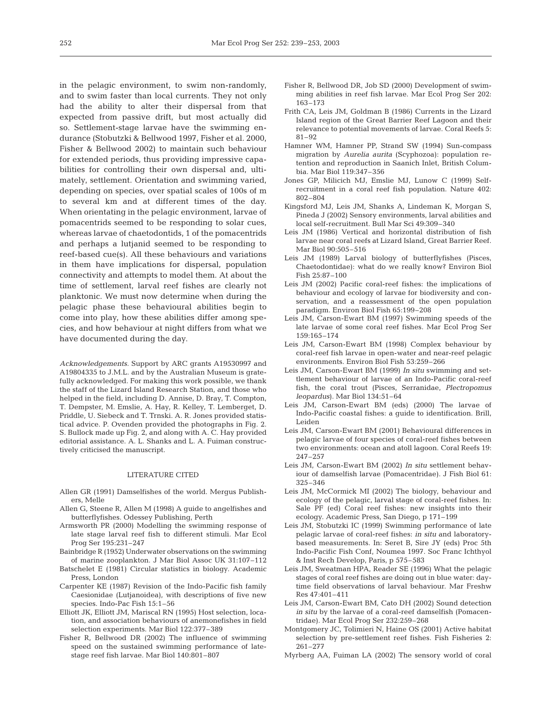in the pelagic environment, to swim non-randomly, and to swim faster than local currents. They not only had the ability to alter their dispersal from that expected from passive drift, but most actually did so. Settlement-stage larvae have the swimming endurance (Stobutzki & Bellwood 1997, Fisher et al. 2000, Fisher & Bellwood 2002) to maintain such behaviour for extended periods, thus providing impressive capabilities for controlling their own dispersal and, ultimately, settlement. Orientation and swimming varied, depending on species, over spatial scales of 100s of m to several km and at different times of the day. When orientating in the pelagic environment, larvae of pomacentrids seemed to be responding to solar cues, whereas larvae of chaetodontids, 1 of the pomacentrids and perhaps a lutjanid seemed to be responding to reef-based cue(s). All these behaviours and variations in them have implications for dispersal, population connectivity and attempts to model them. At about the time of settlement, larval reef fishes are clearly not planktonic. We must now determine when during the pelagic phase these behavioural abilities begin to come into play, how these abilities differ among species, and how behaviour at night differs from what we have documented during the day.

*Acknowledgements*. Support by ARC grants A19530997 and A19804335 to J.M.L. and by the Australian Museum is gratefully acknowledged. For making this work possible, we thank the staff of the Lizard Island Research Station, and those who helped in the field, including D. Annise, D. Bray, T. Compton, T. Dempster, M. Emslie, A. Hay, R. Kelley, T. Lemberget, D. Priddle, U. Siebeck and T. Trnski. A. R. Jones provided statistical advice. P. Ovenden provided the photographs in Fig. 2. S. Bullock made up Fig. 2, and along with A. C. Hay provided editorial assistance. A. L. Shanks and L. A. Fuiman constructively criticised the manuscript.

#### LITERATURE CITED

- Allen GR (1991) Damselfishes of the world. Mergus Publishers, Melle
- Allen G, Steene R, Allen M (1998) A guide to angelfishes and butterflyfishes. Odessey Publishing, Perth
- Armsworth PR (2000) Modelling the swimming response of late stage larval reef fish to different stimuli. Mar Ecol Prog Ser 195:231–247
- Bainbridge R (1952) Underwater observations on the swimming of marine zooplankton. J Mar Biol Assoc UK 31:107–112
- Batschelet E (1981) Circular statistics in biology. Academic Press, London
- Carpenter KE (1987) Revision of the Indo-Pacific fish family Caesionidae (Lutjanoidea), with descriptions of five new species. Indo-Pac Fish 15:1–56
- Elliott JK, Elliott JM, Mariscal RN (1995) Host selection, location, and association behaviours of anemonefishes in field selection experiments. Mar Biol 122:377–389
- Fisher R, Bellwood DR (2002) The influence of swimming speed on the sustained swimming performance of latestage reef fish larvae. Mar Biol 140:801–807
- Fisher R, Bellwood DR, Job SD (2000) Development of swimming abilities in reef fish larvae. Mar Ecol Prog Ser 202: 163–173
- Frith CA, Leis JM, Goldman B (1986) Currents in the Lizard Island region of the Great Barrier Reef Lagoon and their relevance to potential movements of larvae. Coral Reefs 5: 81–92
- Hamner WM, Hamner PP, Strand SW (1994) Sun-compass migration by *Aurelia aurita* (Scyphozoa): population retention and reproduction in Saanich Inlet, British Columbia. Mar Biol 119:347–356
- Jones GP, Milicich MJ, Emslie MJ, Lunow C (1999) Selfrecruitment in a coral reef fish population. Nature 402: 802–804
- Kingsford MJ, Leis JM, Shanks A, Lindeman K, Morgan S, Pineda J (2002) Sensory environments, larval abilities and local self-recruitment. Bull Mar Sci 49:309–340
- Leis JM (1986) Vertical and horizontal distribution of fish larvae near coral reefs at Lizard Island, Great Barrier Reef. Mar Biol 90:505–516
- Leis JM (1989) Larval biology of butterflyfishes (Pisces, Chaetodontidae): what do we really know? Environ Biol Fish 25:87–100
- Leis JM (2002) Pacific coral-reef fishes: the implications of behaviour and ecology of larvae for biodiversity and conservation, and a reassessment of the open population paradigm. Environ Biol Fish 65:199–208
- Leis JM, Carson-Ewart BM (1997) Swimming speeds of the late larvae of some coral reef fishes. Mar Ecol Prog Ser 159:165–174
- Leis JM, Carson-Ewart BM (1998) Complex behaviour by coral-reef fish larvae in open-water and near-reef pelagic environments. Environ Biol Fish 53:259–266
- Leis JM, Carson-Ewart BM (1999) *In situ* swimming and settlement behaviour of larvae of an Indo-Pacific coral-reef fish, the coral trout (Pisces, Serranidae, *Plectropomus leopardus*). Mar Biol 134:51–64
- Leis JM, Carson-Ewart BM (eds) (2000) The larvae of Indo-Pacific coastal fishes: a guide to identification. Brill, Leiden
- Leis JM, Carson-Ewart BM (2001) Behavioural differences in pelagic larvae of four species of coral-reef fishes between two environments: ocean and atoll lagoon. Coral Reefs 19: 247–257
- Leis JM, Carson-Ewart BM (2002) *In situ* settlement behaviour of damselfish larvae (Pomacentridae). J Fish Biol 61: 325–346
- Leis JM, McCormick MI (2002) The biology, behaviour and ecology of the pelagic, larval stage of coral-reef fishes. In: Sale PF (ed) Coral reef fishes: new insights into their ecology. Academic Press, San Diego, p 171–199
- Leis JM, Stobutzki IC (1999) Swimming performance of late pelagic larvae of coral-reef fishes: *in situ* and laboratorybased measurements. In: Seret B, Sire JY (eds) Proc 5th Indo-Pacific Fish Conf, Noumea 1997. Soc Franc Ichthyol & Inst Rech Develop, Paris, p 575–583
- Leis JM, Sweatman HPA, Reader SE (1996) What the pelagic stages of coral reef fishes are doing out in blue water: daytime field observations of larval behaviour. Mar Freshw Res 47:401–411
- Leis JM, Carson-Ewart BM, Cato DH (2002) Sound detection *in situ* by the larvae of a coral-reef damselfish (Pomacentridae). Mar Ecol Prog Ser 232:259–268
- Montgomery JC, Tolimieri N, Haine OS (2001) Active habitat selection by pre-settlement reef fishes. Fish Fisheries 2: 261–277
- Myrberg AA, Fuiman LA (2002) The sensory world of coral